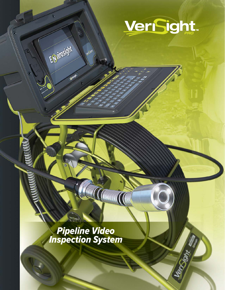

Verzont

Pipeline Video Inspection System

-9.

**ACCOMMUNICATION** 

 $\langle \mathbf{e} \rangle$ 

Epirrosight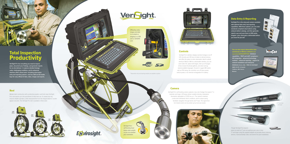### Camera

VeriSight Pro's self-leveling camera captures crisp color footage from pipes 2" in diameter and larger. LED lamps deliver variable-intensity, shadowless illumination adjustable to 12,500 lux (at 6"). The camera's stainless construction withstands harsh conditions, and its unique spring facilitates navigation through bends and P traps. The signal from its tri-band sonde can be picked up by most any locator.



You can also export observation data seamlessly to WinCan software (sold separately) and benefit from: **database capabilities** • **PACP and LACP compliance** • **GIS integration** • **advanced technology modules** • **enhanced reporting** • **support for network installation and enterprise databases (Oracle, SQL)** • **links to municipal apps (ArcGIS, Cartegraph, CityWorks, GBA, Hansen, Maximo)**



**VeriSight Pro is the only push camera available with optional data entry and reporting capabilities. With these options, you can enter standards-compliant observations using onboard defect catalogs, and then generate reports (right) and save them to USB media. Imagine—your client gets a deliverable before you leave the job site!**



**VeriSight Pro has everything you need to inspect pipes, document your findings, and generate reports for on-site delivery†. It captures detailed footage under challenging conditions, and its advanced interface offers robust tools—including observation entry and reporting options—and has USB and SD media bays for easy offload of data, video, images and reports.** 

VeriSight Pro's interface displays real-time footage on an 8" LCD, records up to 90 hours of video to internal memory, and offers the option to enter observation data for upload directly to WinCan. With its customizable interface, you can zoom video 3X, capture still images, enter up to 16 pages of text, browse thumbnail galleries, and select among several available languages. Housed in rugged ABS plastic with an IP54 rating, the controller runs off mains power, vehicle power, or an internal rechargeable 6-hr battery.

### Controls

### Data Entry & Reporting

Though VeriSight Pro inspects pipes as small as 2", you can optimize your view in lines 3" and larger using the supplied adapter kit (includes three centering devices, maneuverability collar, and wrench for quick installation).



Epivirosight.

COND

**MAGICO** 

Welded steel construction with a protective powder coat finish mean VeriSight Pro's reel stands up to the punishment of daily field use. It's sealed slip ring ensures reliable operation, while measurements from the integral distance counter appear onscreen. The VeriSight Pro reel is available in three sizes:



Offloading video, images and data is as simple as plugging in a USB stick or SD/SDHC card.





VeriSight Pro's self-leveling head keeps video upright, so you can maintain your orientation.





## Reel

Total Inspection Productivity

† Observation entry and reporting modules are available as options.

In 3" pipe (top) and larger.

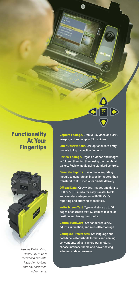

# **Functionality** At Your **Fingertips**



Use the VeriSight Pro control unit to view, record and annotate inspection footage from any composite video source.

Capture Footage. **Grab MPEG video and JPEG images, and zoom up to 3X on video.** 

Enter Observations. **Use optional data-entry module to log inspection findings.**

Review Footage. **Organize videos and images in folders, then find them using the thumbnail gallery. Review media using standard controls.**

Generate Reports. **Use optional reporting module to generate an inspection report, then transfer it to USB media for on-site delivery.** 

Offload Data. **Copy video, images and data to USB or SDHC media for easy transfer to PC and seamless integration with WinCan's reporting and querying capabilities.**

Write Screen Text. **Type and store up to 16 pages of onscreen text. Customize text color, position and background color.** 

Control Hardware. **Set sonde frequency, adjust illumination, and zero/offset footage.**

Configure Preferences. **Set language and date/time; establish file formats and naming conventions; adjust camera parameters; choose interface theme and power-saving scheme; update firmware.**